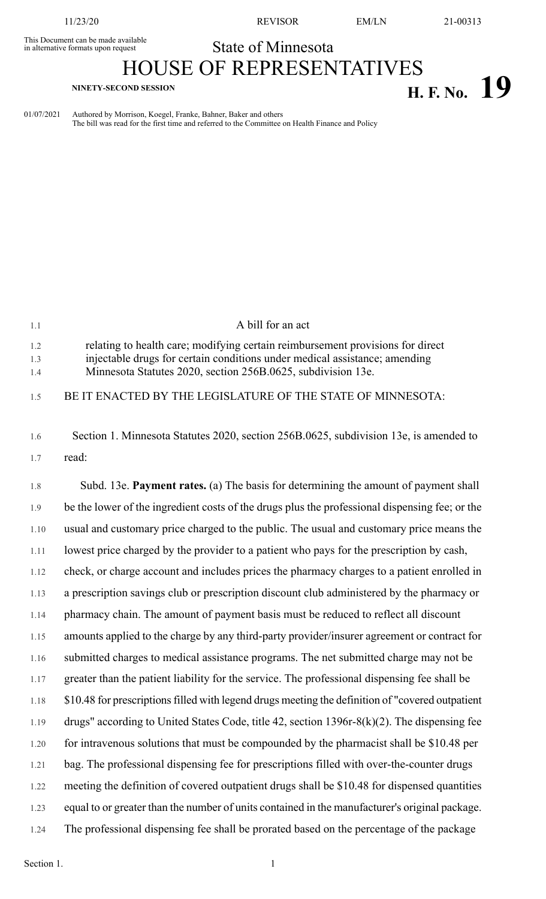This Document can be made available<br>in alternative formats upon request

11/23/20 REVISOR EM/LN 21-00313

## State of Minnesota

## HOUSE OF REPRESENTATIVES **H. F. No. 19 H. F. No. 19**

01/07/2021 Authored by Morrison, Koegel, Franke, Bahner, Baker and others The bill was read for the first time and referred to the Committee on Health Finance and Policy

| 1.1               | A bill for an act                                                                                                                                                                                                            |
|-------------------|------------------------------------------------------------------------------------------------------------------------------------------------------------------------------------------------------------------------------|
| 1.2<br>1.3<br>1.4 | relating to health care; modifying certain reimbursement provisions for direct<br>injectable drugs for certain conditions under medical assistance; amending<br>Minnesota Statutes 2020, section 256B.0625, subdivision 13e. |
| 1.5               | BE IT ENACTED BY THE LEGISLATURE OF THE STATE OF MINNESOTA:                                                                                                                                                                  |
| 1.6               | Section 1. Minnesota Statutes 2020, section 256B.0625, subdivision 13e, is amended to                                                                                                                                        |
| 1.7               | read:                                                                                                                                                                                                                        |
| 1.8               | Subd. 13e. Payment rates. (a) The basis for determining the amount of payment shall                                                                                                                                          |
| 1.9               | be the lower of the ingredient costs of the drugs plus the professional dispensing fee; or the                                                                                                                               |
| 1.10              | usual and customary price charged to the public. The usual and customary price means the                                                                                                                                     |
| 1.11              | lowest price charged by the provider to a patient who pays for the prescription by cash,                                                                                                                                     |
| 1.12              | check, or charge account and includes prices the pharmacy charges to a patient enrolled in                                                                                                                                   |
| 1.13              | a prescription savings club or prescription discount club administered by the pharmacy or                                                                                                                                    |
| 1.14              | pharmacy chain. The amount of payment basis must be reduced to reflect all discount                                                                                                                                          |
| 1.15              | amounts applied to the charge by any third-party provider/insurer agreement or contract for                                                                                                                                  |
| 1.16              | submitted charges to medical assistance programs. The net submitted charge may not be                                                                                                                                        |
| 1.17              | greater than the patient liability for the service. The professional dispensing fee shall be                                                                                                                                 |
| 1.18              | \$10.48 for prescriptions filled with legend drugs meeting the definition of "covered outpatient"                                                                                                                            |
| 1.19              | drugs" according to United States Code, title 42, section $1396r-8(k)(2)$ . The dispensing fee                                                                                                                               |
| 1.20              | for intravenous solutions that must be compounded by the pharmacist shall be \$10.48 per                                                                                                                                     |
| 1.21              | bag. The professional dispensing fee for prescriptions filled with over-the-counter drugs                                                                                                                                    |
| 1.22              | meeting the definition of covered outpatient drugs shall be \$10.48 for dispensed quantities                                                                                                                                 |
| 1.23              | equal to or greater than the number of units contained in the manufacturer's original package.                                                                                                                               |
| 1.24              | The professional dispensing fee shall be prorated based on the percentage of the package                                                                                                                                     |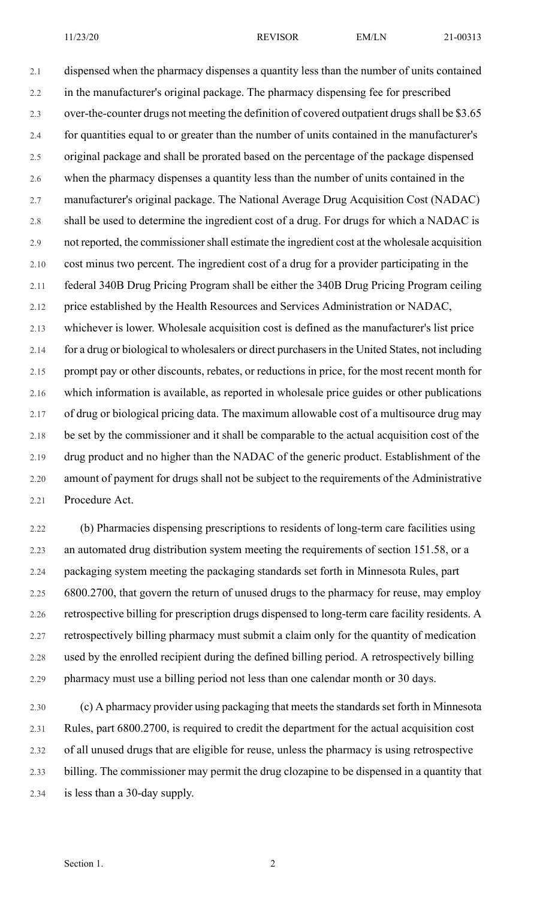2.1 dispensed when the pharmacy dispenses a quantity less than the number of units contained 2.2 in the manufacturer's original package. The pharmacy dispensing fee for prescribed 2.3 over-the-counter drugs not meeting the definition of covered outpatient drugs shall be \$3.65 2.4 for quantities equal to or greater than the number of units contained in the manufacturer's 2.5 original package and shall be prorated based on the percentage of the package dispensed 2.6 when the pharmacy dispenses a quantity less than the number of units contained in the 2.7 manufacturer's original package. The National Average Drug Acquisition Cost (NADAC) 2.8 shall be used to determine the ingredient cost of a drug. For drugs for which a NADAC is 2.9 not reported, the commissionershall estimate the ingredient cost at the wholesale acquisition 2.10 cost minus two percent. The ingredient cost of a drug for a provider participating in the 2.11 federal 340B Drug Pricing Program shall be either the 340B Drug Pricing Program ceiling 2.12 price established by the Health Resources and Services Administration or NADAC, 2.13 whichever is lower. Wholesale acquisition cost is defined as the manufacturer's list price 2.14 for a drug or biological to wholesalers or direct purchasersin the United States, not including 2.15 prompt pay or other discounts, rebates, or reductions in price, for the most recent month for 2.16 which information is available, as reported in wholesale price guides or other publications 2.17 of drug or biological pricing data. The maximum allowable cost of a multisource drug may 2.18 be set by the commissioner and it shall be comparable to the actual acquisition cost of the 2.19 drug product and no higher than the NADAC of the generic product. Establishment of the 2.20 amount of payment for drugs shall not be subject to the requirements of the Administrative 2.21 Procedure Act.

2.22 (b) Pharmacies dispensing prescriptions to residents of long-term care facilities using 2.23 an automated drug distribution system meeting the requirements of section 151.58, or a 2.24 packaging system meeting the packaging standards set forth in Minnesota Rules, part 2.25 6800.2700, that govern the return of unused drugs to the pharmacy for reuse, may employ 2.26 retrospective billing for prescription drugs dispensed to long-term care facility residents. A 2.27 retrospectively billing pharmacy must submit a claim only for the quantity of medication 2.28 used by the enrolled recipient during the defined billing period. A retrospectively billing 2.29 pharmacy must use a billing period not less than one calendar month or 30 days.

2.30 (c) A pharmacy provider using packaging that meets the standards set forth in Minnesota 2.31 Rules, part 6800.2700, is required to credit the department for the actual acquisition cost 2.32 of all unused drugs that are eligible for reuse, unless the pharmacy is using retrospective 2.33 billing. The commissioner may permit the drug clozapine to be dispensed in a quantity that 2.34 is less than a 30-day supply.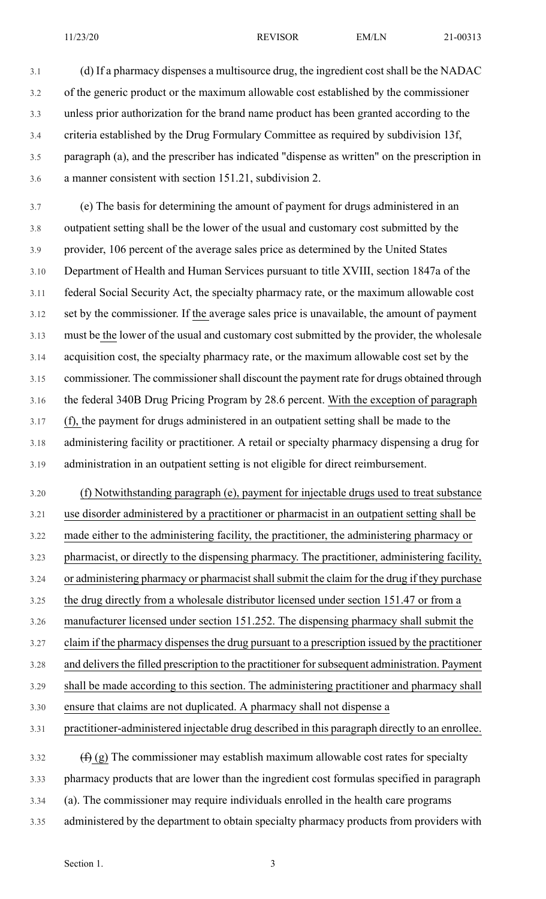3.1 (d) If a pharmacy dispenses a multisource drug, the ingredient cost shall be the NADAC 3.2 of the generic product or the maximum allowable cost established by the commissioner 3.3 unless prior authorization for the brand name product has been granted according to the 3.4 criteria established by the Drug Formulary Committee as required by subdivision 13f, 3.5 paragraph (a), and the prescriber has indicated "dispense as written" on the prescription in 3.6 a manner consistent with section 151.21, subdivision 2.

3.7 (e) The basis for determining the amount of payment for drugs administered in an 3.8 outpatient setting shall be the lower of the usual and customary cost submitted by the 3.9 provider, 106 percent of the average sales price as determined by the United States 3.10 Department of Health and Human Services pursuant to title XVIII, section 1847a of the 3.11 federal Social Security Act, the specialty pharmacy rate, or the maximum allowable cost 3.12 set by the commissioner. If the average sales price is unavailable, the amount of payment 3.13 must be the lower of the usual and customary cost submitted by the provider, the wholesale 3.14 acquisition cost, the specialty pharmacy rate, or the maximum allowable cost set by the 3.15 commissioner. The commissioner shall discount the payment rate for drugs obtained through 3.16 the federal 340B Drug Pricing Program by 28.6 percent. With the exception of paragraph 3.17 (f), the payment for drugs administered in an outpatient setting shall be made to the 3.18 administering facility or practitioner. A retail or specialty pharmacy dispensing a drug for 3.19 administration in an outpatient setting is not eligible for direct reimbursement.

3.20 (f) Notwithstanding paragraph (e), payment for injectable drugs used to treat substance 3.21 use disorder administered by a practitioner or pharmacist in an outpatient setting shall be 3.22 made either to the administering facility, the practitioner, the administering pharmacy or 3.23 pharmacist, or directly to the dispensing pharmacy. The practitioner, administering facility, 3.24 or administering pharmacy or pharmacist shall submit the claim for the drug if they purchase 3.25 the drug directly from a wholesale distributor licensed under section 151.47 or from a 3.26 manufacturer licensed under section 151.252. The dispensing pharmacy shall submit the 3.27 claim if the pharmacy dispenses the drug pursuant to a prescription issued by the practitioner 3.28 and delivers the filled prescription to the practitioner for subsequent administration. Payment 3.29 shall be made according to this section. The administering practitioner and pharmacy shall 3.30 ensure that claims are not duplicated. A pharmacy shall not dispense a 3.31 practitioner-administered injectable drug described in this paragraph directly to an enrollee. 3.32  $(f)$  (g) The commissioner may establish maximum allowable cost rates for specialty 3.33 pharmacy products that are lower than the ingredient cost formulas specified in paragraph

- 3.34 (a). The commissioner may require individuals enrolled in the health care programs
- 3.35 administered by the department to obtain specialty pharmacy products from providers with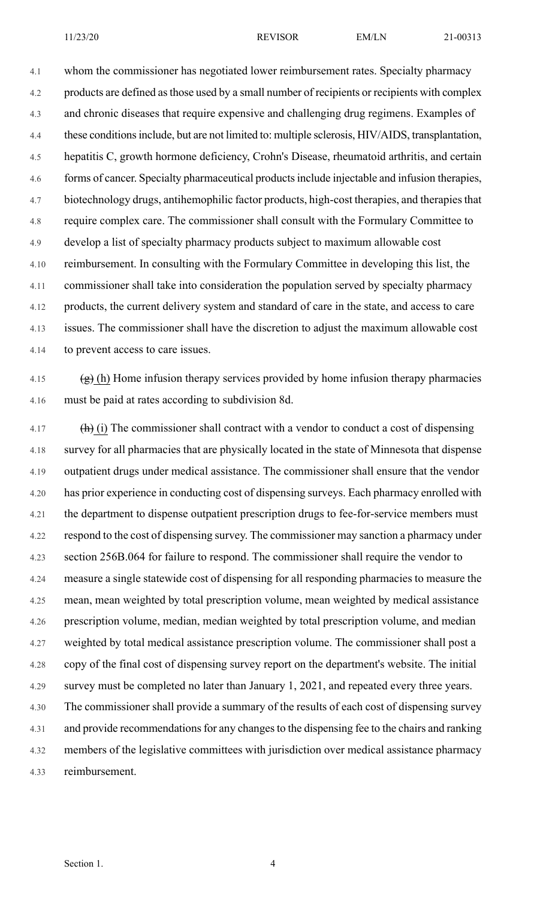4.1 whom the commissioner has negotiated lower reimbursement rates. Specialty pharmacy 4.2 products are defined asthose used by a small number of recipients or recipients with complex 4.3 and chronic diseases that require expensive and challenging drug regimens. Examples of 4.4 these conditions include, but are not limited to: multiple sclerosis, HIV/AIDS, transplantation, 4.5 hepatitis C, growth hormone deficiency, Crohn's Disease, rheumatoid arthritis, and certain 4.6 forms of cancer. Specialty pharmaceutical products include injectable and infusion therapies, 4.7 biotechnology drugs, antihemophilic factor products, high-cost therapies, and therapies that 4.8 require complex care. The commissioner shall consult with the Formulary Committee to 4.9 develop a list of specialty pharmacy products subject to maximum allowable cost 4.10 reimbursement. In consulting with the Formulary Committee in developing this list, the 4.11 commissioner shall take into consideration the population served by specialty pharmacy 4.12 products, the current delivery system and standard of care in the state, and access to care 4.13 issues. The commissioner shall have the discretion to adjust the maximum allowable cost 4.14 to prevent access to care issues.

4.15  $(g)$  (h) Home infusion therapy services provided by home infusion therapy pharmacies 4.16 must be paid at rates according to subdivision 8d.

4.17  $\left(\frac{h}{h}\right)$  (i) The commissioner shall contract with a vendor to conduct a cost of dispensing 4.18 survey for all pharmacies that are physically located in the state of Minnesota that dispense 4.19 outpatient drugs under medical assistance. The commissioner shall ensure that the vendor 4.20 has prior experience in conducting cost of dispensing surveys. Each pharmacy enrolled with 4.21 the department to dispense outpatient prescription drugs to fee-for-service members must 4.22 respond to the cost of dispensing survey. The commissioner may sanction a pharmacy under 4.23 section 256B.064 for failure to respond. The commissioner shall require the vendor to 4.24 measure a single statewide cost of dispensing for all responding pharmacies to measure the 4.25 mean, mean weighted by total prescription volume, mean weighted by medical assistance 4.26 prescription volume, median, median weighted by total prescription volume, and median 4.27 weighted by total medical assistance prescription volume. The commissioner shall post a 4.28 copy of the final cost of dispensing survey report on the department's website. The initial 4.29 survey must be completed no later than January 1, 2021, and repeated every three years. 4.30 The commissioner shall provide a summary of the results of each cost of dispensing survey 4.31 and provide recommendations for any changes to the dispensing fee to the chairs and ranking 4.32 members of the legislative committees with jurisdiction over medical assistance pharmacy 4.33 reimbursement.